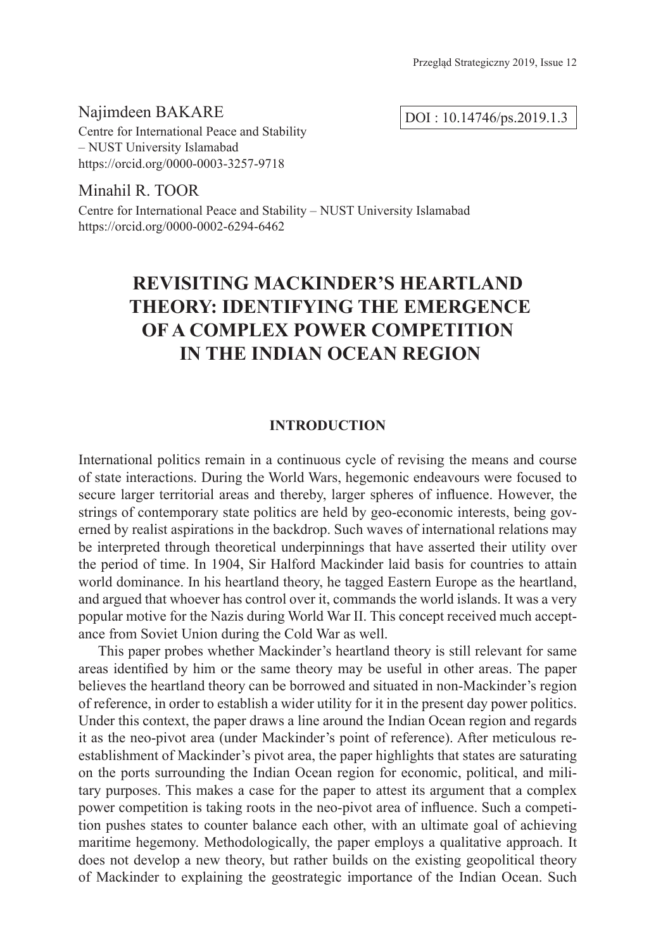Najimdeen BAKARE Centre for International Peace and Stability – NUST University Islamabad https://orcid.org/0000-0003-3257-9718

DOI : 10.14746/ps.2019.1.3

Minahil R. TOOR Centre for International Peace and Stability – NUST University Islamabad https://orcid.org/0000-0002-6294-6462

# **REVISITING MACKINDER'S HEARTLAND THEORY: IDENTIFYING THE EMERGENCE OF A COMPLEX POWER COMPETITION IN THE INDIAN OCEAN REGION**

#### **INTRODUCTION**

International politics remain in a continuous cycle of revising the means and course of state interactions. During the World Wars, hegemonic endeavours were focused to secure larger territorial areas and thereby, larger spheres of influence. However, the strings of contemporary state politics are held by geo-economic interests, being governed by realist aspirations in the backdrop. Such waves of international relations may be interpreted through theoretical underpinnings that have asserted their utility over the period of time. In 1904, Sir Halford Mackinder laid basis for countries to attain world dominance. In his heartland theory, he tagged Eastern Europe as the heartland, and argued that whoever has control over it, commands the world islands. It was a very popular motive for the Nazis during World War II. This concept received much acceptance from Soviet Union during the Cold War as well.

This paper probes whether Mackinder's heartland theory is still relevant for same areas identified by him or the same theory may be useful in other areas. The paper believes the heartland theory can be borrowed and situated in non-Mackinder's region of reference, in order to establish a wider utility for it in the present day power politics. Under this context, the paper draws a line around the Indian Ocean region and regards it as the neo-pivot area (under Mackinder's point of reference). After meticulous reestablishment of Mackinder's pivot area, the paper highlights that states are saturating on the ports surrounding the Indian Ocean region for economic, political, and military purposes. This makes a case for the paper to attest its argument that a complex power competition is taking roots in the neo-pivot area of influence. Such a competition pushes states to counter balance each other, with an ultimate goal of achieving maritime hegemony. Methodologically, the paper employs a qualitative approach. It does not develop a new theory, but rather builds on the existing geopolitical theory of Mackinder to explaining the geostrategic importance of the Indian Ocean. Such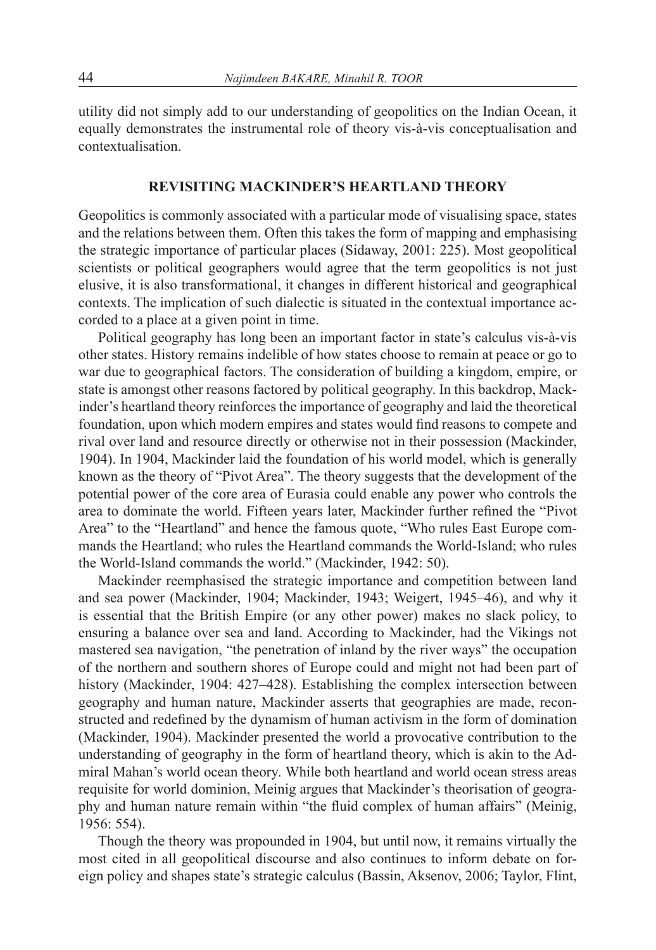utility did not simply add to our understanding of geopolitics on the Indian Ocean, it equally demonstrates the instrumental role of theory vis-à-vis conceptualisation and contextualisation.

### **REVISITING MACKINDER'S HEARTLAND THEORY**

Geopolitics is commonly associated with a particular mode of visualising space, states and the relations between them. Often this takes the form of mapping and emphasising the strategic importance of particular places (Sidaway, 2001: 225). Most geopolitical scientists or political geographers would agree that the term geopolitics is not just elusive, it is also transformational, it changes in different historical and geographical contexts. The implication of such dialectic is situated in the contextual importance accorded to a place at a given point in time.

Political geography has long been an important factor in state's calculus vis-à-vis other states. History remains indelible of how states choose to remain at peace or go to war due to geographical factors. The consideration of building a kingdom, empire, or state is amongst other reasons factored by political geography. In this backdrop, Mackinder's heartland theory reinforces the importance of geography and laid the theoretical foundation, upon which modern empires and states would find reasons to compete and rival over land and resource directly or otherwise not in their possession (Mackinder, 1904). In 1904, Mackinder laid the foundation of his world model, which is generally known as the theory of "Pivot Area". The theory suggests that the development of the potential power of the core area of Eurasia could enable any power who controls the area to dominate the world. Fifteen years later, Mackinder further refined the "Pivot Area" to the "Heartland" and hence the famous quote, "Who rules East Europe commands the Heartland; who rules the Heartland commands the World-Island; who rules the World-Island commands the world." (Mackinder, 1942: 50).

Mackinder reemphasised the strategic importance and competition between land and sea power (Mackinder, 1904; Mackinder, 1943; Weigert, 1945–46), and why it is essential that the British Empire (or any other power) makes no slack policy, to ensuring a balance over sea and land. According to Mackinder, had the Vikings not mastered sea navigation, "the penetration of inland by the river ways" the occupation of the northern and southern shores of Europe could and might not had been part of history (Mackinder, 1904: 427–428). Establishing the complex intersection between geography and human nature, Mackinder asserts that geographies are made, reconstructed and redefined by the dynamism of human activism in the form of domination (Mackinder, 1904). Mackinder presented the world a provocative contribution to the understanding of geography in the form of heartland theory, which is akin to the Admiral Mahan's world ocean theory*.* While both heartland and world ocean stress areas requisite for world dominion, Meinig argues that Mackinder's theorisation of geography and human nature remain within "the fluid complex of human affairs" (Meinig, 1956: 554).

Though the theory was propounded in 1904, but until now, it remains virtually the most cited in all geopolitical discourse and also continues to inform debate on foreign policy and shapes state's strategic calculus (Bassin, Aksenov, 2006; Taylor, Flint,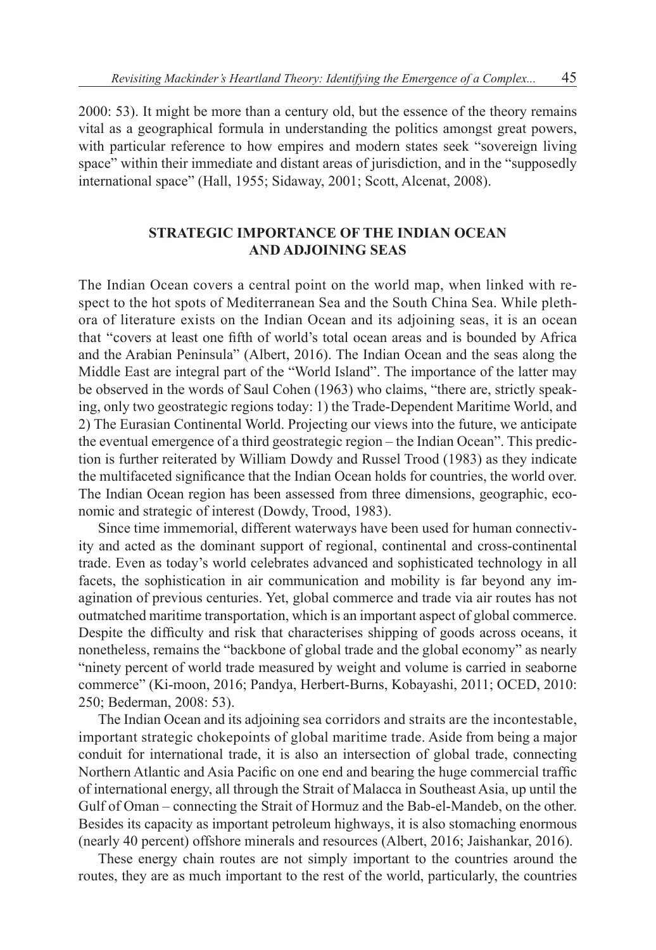2000: 53). It might be more than a century old, but the essence of the theory remains vital as a geographical formula in understanding the politics amongst great powers, with particular reference to how empires and modern states seek "sovereign living space" within their immediate and distant areas of jurisdiction, and in the "supposedly international space" (Hall, 1955; Sidaway, 2001; Scott, Alcenat, 2008).

# **STRATEGIC IMPORTANCE OF THE INDIAN OCEAN AND ADJOINING SEAS**

The Indian Ocean covers a central point on the world map, when linked with respect to the hot spots of Mediterranean Sea and the South China Sea. While plethora of literature exists on the Indian Ocean and its adjoining seas, it is an ocean that "covers at least one fifth of world's total ocean areas and is bounded by Africa and the Arabian Peninsula" (Albert, 2016). The Indian Ocean and the seas along the Middle East are integral part of the "World Island". The importance of the latter may be observed in the words of Saul Cohen (1963) who claims, "there are, strictly speaking, only two geostrategic regions today: 1) the Trade-Dependent Maritime World, and 2) The Eurasian Continental World. Projecting our views into the future, we anticipate the eventual emergence of a third geostrategic region – the Indian Ocean". This prediction is further reiterated by William Dowdy and Russel Trood (1983) as they indicate the multifaceted significance that the Indian Ocean holds for countries, the world over. The Indian Ocean region has been assessed from three dimensions, geographic, economic and strategic of interest (Dowdy, Trood, 1983).

Since time immemorial, different waterways have been used for human connectivity and acted as the dominant support of regional, continental and cross-continental trade. Even as today's world celebrates advanced and sophisticated technology in all facets, the sophistication in air communication and mobility is far beyond any imagination of previous centuries. Yet, global commerce and trade via air routes has not outmatched maritime transportation, which is an important aspect of global commerce. Despite the difficulty and risk that characterises shipping of goods across oceans, it nonetheless, remains the "backbone of global trade and the global economy" as nearly "ninety percent of world trade measured by weight and volume is carried in seaborne commerce" (Ki-moon, 2016; Pandya, Herbert-Burns, Kobayashi, 2011; OCED, 2010: 250; Bederman, 2008: 53).

The Indian Ocean and its adjoining sea corridors and straits are the incontestable, important strategic chokepoints of global maritime trade. Aside from being a major conduit for international trade, it is also an intersection of global trade, connecting Northern Atlantic and Asia Pacific on one end and bearing the huge commercial traffic of international energy, all through the Strait of Malacca in Southeast Asia, up until the Gulf of Oman – connecting the Strait of Hormuz and the Bab-el-Mandeb, on the other. Besides its capacity as important petroleum highways, it is also stomaching enormous (nearly 40 percent) offshore minerals and resources (Albert, 2016; Jaishankar, 2016).

These energy chain routes are not simply important to the countries around the routes, they are as much important to the rest of the world, particularly, the countries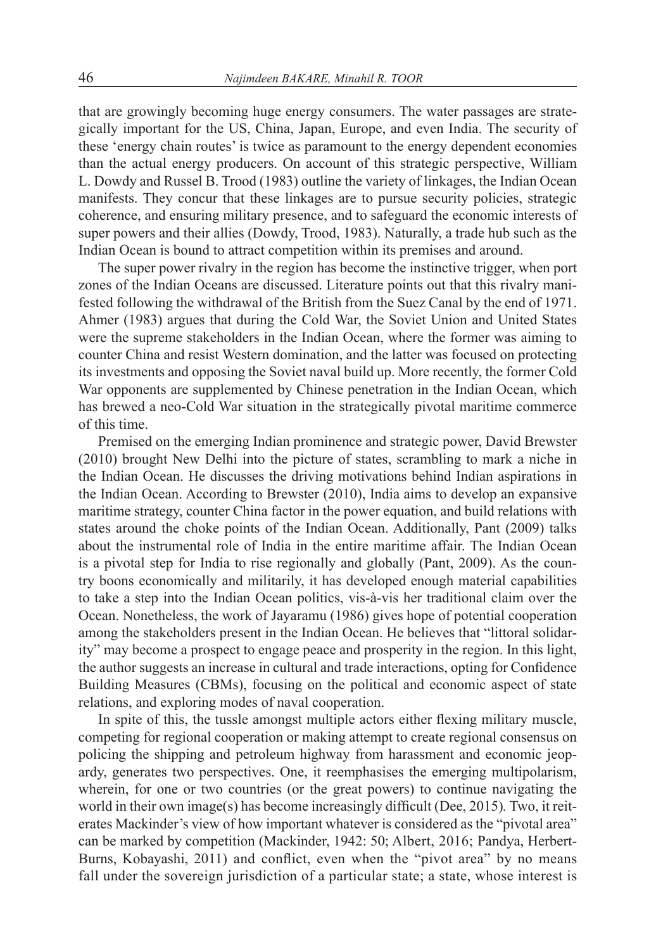that are growingly becoming huge energy consumers. The water passages are strategically important for the US, China, Japan, Europe, and even India. The security of these 'energy chain routes' is twice as paramount to the energy dependent economies than the actual energy producers. On account of this strategic perspective, William L. Dowdy and Russel B. Trood (1983) outline the variety of linkages, the Indian Ocean manifests. They concur that these linkages are to pursue security policies, strategic coherence, and ensuring military presence, and to safeguard the economic interests of super powers and their allies (Dowdy, Trood, 1983). Naturally, a trade hub such as the Indian Ocean is bound to attract competition within its premises and around.

The super power rivalry in the region has become the instinctive trigger, when port zones of the Indian Oceans are discussed. Literature points out that this rivalry manifested following the withdrawal of the British from the Suez Canal by the end of 1971. Ahmer (1983) argues that during the Cold War, the Soviet Union and United States were the supreme stakeholders in the Indian Ocean, where the former was aiming to counter China and resist Western domination, and the latter was focused on protecting its investments and opposing the Soviet naval build up. More recently, the former Cold War opponents are supplemented by Chinese penetration in the Indian Ocean, which has brewed a neo-Cold War situation in the strategically pivotal maritime commerce of this time.

Premised on the emerging Indian prominence and strategic power, David Brewster (2010) brought New Delhi into the picture of states, scrambling to mark a niche in the Indian Ocean. He discusses the driving motivations behind Indian aspirations in the Indian Ocean. According to Brewster (2010), India aims to develop an expansive maritime strategy, counter China factor in the power equation, and build relations with states around the choke points of the Indian Ocean. Additionally, Pant (2009) talks about the instrumental role of India in the entire maritime affair. The Indian Ocean is a pivotal step for India to rise regionally and globally (Pant, 2009). As the country boons economically and militarily, it has developed enough material capabilities to take a step into the Indian Ocean politics, vis-à-vis her traditional claim over the Ocean. Nonetheless, the work of Jayaramu (1986) gives hope of potential cooperation among the stakeholders present in the Indian Ocean. He believes that "littoral solidarity" may become a prospect to engage peace and prosperity in the region. In this light, the author suggests an increase in cultural and trade interactions, opting for Confidence Building Measures (CBMs), focusing on the political and economic aspect of state relations, and exploring modes of naval cooperation.

In spite of this, the tussle amongst multiple actors either flexing military muscle, competing for regional cooperation or making attempt to create regional consensus on policing the shipping and petroleum highway from harassment and economic jeopardy, generates two perspectives. One, it reemphasises the emerging multipolarism, wherein, for one or two countries (or the great powers) to continue navigating the world in their own image(s) has become increasingly difficult (Dee, 2015)*.* Two, it reiterates Mackinder's view of how important whatever is considered as the "pivotal area" can be marked by competition (Mackinder, 1942: 50; Albert, 2016; Pandya, Herbert-Burns, Kobayashi, 2011) and conflict, even when the "pivot area" by no means fall under the sovereign jurisdiction of a particular state; a state, whose interest is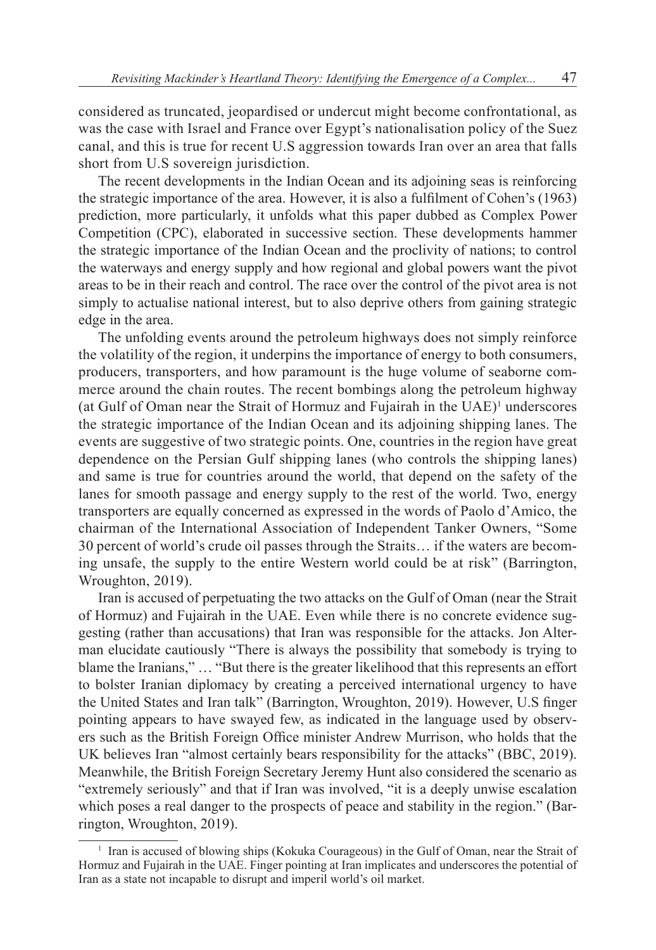considered as truncated, jeopardised or undercut might become confrontational, as was the case with Israel and France over Egypt's nationalisation policy of the Suez canal, and this is true for recent U.S aggression towards Iran over an area that falls short from U.S sovereign jurisdiction.

The recent developments in the Indian Ocean and its adjoining seas is reinforcing the strategic importance of the area. However, it is also a fulfilment of Cohen's (1963) prediction, more particularly, it unfolds what this paper dubbed as Complex Power Competition (CPC), elaborated in successive section. These developments hammer the strategic importance of the Indian Ocean and the proclivity of nations; to control the waterways and energy supply and how regional and global powers want the pivot areas to be in their reach and control. The race over the control of the pivot area is not simply to actualise national interest, but to also deprive others from gaining strategic edge in the area.

The unfolding events around the petroleum highways does not simply reinforce the volatility of the region, it underpins the importance of energy to both consumers, producers, transporters, and how paramount is the huge volume of seaborne commerce around the chain routes. The recent bombings along the petroleum highway (at Gulf of Oman near the Strait of Hormuz and Fujairah in the UAE)<sup>1</sup> underscores the strategic importance of the Indian Ocean and its adjoining shipping lanes. The events are suggestive of two strategic points. One, countries in the region have great dependence on the Persian Gulf shipping lanes (who controls the shipping lanes) and same is true for countries around the world, that depend on the safety of the lanes for smooth passage and energy supply to the rest of the world. Two, energy transporters are equally concerned as expressed in the words of Paolo d'Amico, the chairman of the International Association of Independent Tanker Owners, "Some 30 percent of world's crude oil passes through the Straits… if the waters are becoming unsafe, the supply to the entire Western world could be at risk" (Barrington, Wroughton, 2019).

Iran is accused of perpetuating the two attacks on the Gulf of Oman (near the Strait of Hormuz) and Fujairah in the UAE. Even while there is no concrete evidence suggesting (rather than accusations) that Iran was responsible for the attacks. Jon Alterman elucidate cautiously "There is always the possibility that somebody is trying to blame the Iranians," … "But there is the greater likelihood that this represents an effort to bolster Iranian diplomacy by creating a perceived international urgency to have the United States and Iran talk" (Barrington, Wroughton, 2019). However, U.S finger pointing appears to have swayed few, as indicated in the language used by observers such as the British Foreign Office minister Andrew Murrison, who holds that the UK believes Iran "almost certainly bears responsibility for the attacks" (BBC, 2019). Meanwhile, the British Foreign Secretary Jeremy Hunt also considered the scenario as "extremely seriously" and that if Iran was involved, "it is a deeply unwise escalation which poses a real danger to the prospects of peace and stability in the region." (Barrington, Wroughton, 2019).

<sup>1</sup> Iran is accused of blowing ships (Kokuka Courageous) in the Gulf of Oman, near the Strait of Hormuz and Fujairah in the UAE. Finger pointing at Iran implicates and underscores the potential of Iran as a state not incapable to disrupt and imperil world's oil market.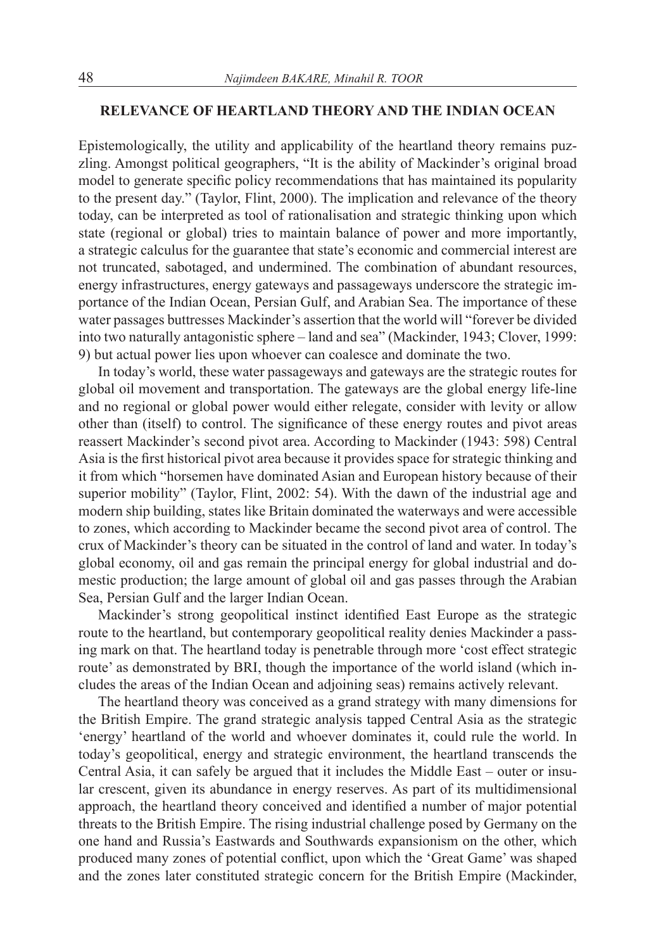## **RELEVANCE OF HEARTLAND THEORY AND THE INDIAN OCEAN**

Epistemologically, the utility and applicability of the heartland theory remains puzzling. Amongst political geographers, "It is the ability of Mackinder's original broad model to generate specific policy recommendations that has maintained its popularity to the present day." (Taylor, Flint, 2000). The implication and relevance of the theory today, can be interpreted as tool of rationalisation and strategic thinking upon which state (regional or global) tries to maintain balance of power and more importantly, a strategic calculus for the guarantee that state's economic and commercial interest are not truncated, sabotaged, and undermined. The combination of abundant resources, energy infrastructures, energy gateways and passageways underscore the strategic importance of the Indian Ocean, Persian Gulf, and Arabian Sea. The importance of these water passages buttresses Mackinder's assertion that the world will "forever be divided into two naturally antagonistic sphere – land and sea" (Mackinder, 1943; Clover, 1999: 9) but actual power lies upon whoever can coalesce and dominate the two.

In today's world, these water passageways and gateways are the strategic routes for global oil movement and transportation. The gateways are the global energy life-line and no regional or global power would either relegate, consider with levity or allow other than (itself) to control. The significance of these energy routes and pivot areas reassert Mackinder's second pivot area. According to Mackinder (1943: 598) Central Asia is the first historical pivot area because it provides space for strategic thinking and it from which "horsemen have dominated Asian and European history because of their superior mobility" (Taylor, Flint, 2002: 54). With the dawn of the industrial age and modern ship building, states like Britain dominated the waterways and were accessible to zones, which according to Mackinder became the second pivot area of control. The crux of Mackinder's theory can be situated in the control of land and water. In today's global economy, oil and gas remain the principal energy for global industrial and domestic production; the large amount of global oil and gas passes through the Arabian Sea, Persian Gulf and the larger Indian Ocean.

Mackinder's strong geopolitical instinct identified East Europe as the strategic route to the heartland, but contemporary geopolitical reality denies Mackinder a passing mark on that. The heartland today is penetrable through more 'cost effect strategic route' as demonstrated by BRI, though the importance of the world island (which includes the areas of the Indian Ocean and adjoining seas) remains actively relevant.

The heartland theory was conceived as a grand strategy with many dimensions for the British Empire. The grand strategic analysis tapped Central Asia as the strategic 'energy' heartland of the world and whoever dominates it, could rule the world. In today's geopolitical, energy and strategic environment, the heartland transcends the Central Asia, it can safely be argued that it includes the Middle East – outer or insular crescent, given its abundance in energy reserves. As part of its multidimensional approach, the heartland theory conceived and identified a number of major potential threats to the British Empire. The rising industrial challenge posed by Germany on the one hand and Russia's Eastwards and Southwards expansionism on the other, which produced many zones of potential conflict, upon which the 'Great Game' was shaped and the zones later constituted strategic concern for the British Empire (Mackinder,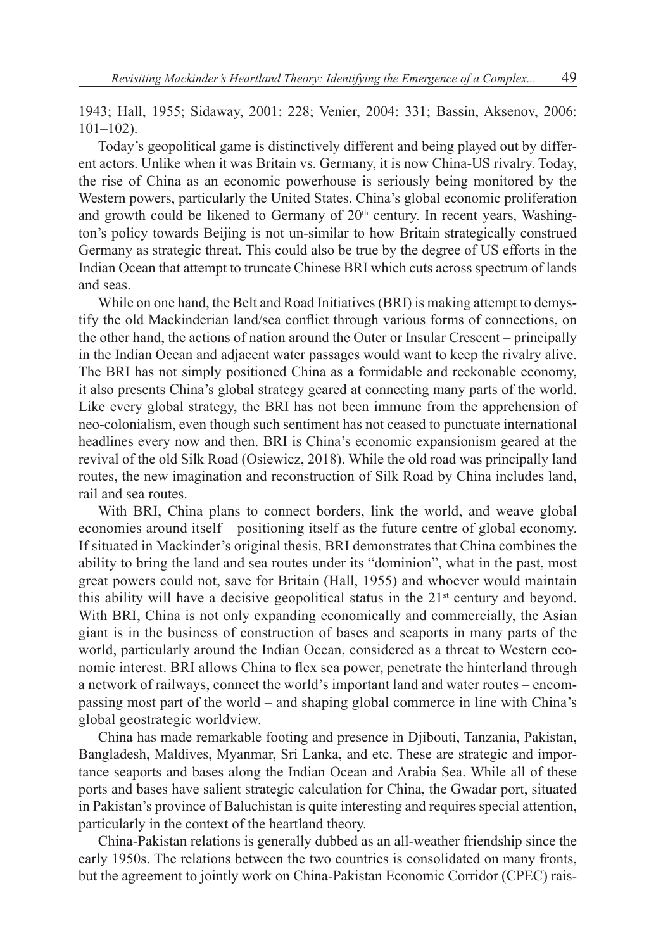1943; Hall, 1955; Sidaway, 2001: 228; Venier, 2004: 331; Bassin, Aksenov, 2006: 101–102).

Today's geopolitical game is distinctively different and being played out by different actors. Unlike when it was Britain vs. Germany, it is now China-US rivalry. Today, the rise of China as an economic powerhouse is seriously being monitored by the Western powers, particularly the United States. China's global economic proliferation and growth could be likened to Germany of  $20<sup>th</sup>$  century. In recent years, Washington's policy towards Beijing is not un-similar to how Britain strategically construed Germany as strategic threat. This could also be true by the degree of US efforts in the Indian Ocean that attempt to truncate Chinese BRI which cuts across spectrum of lands and seas.

While on one hand, the Belt and Road Initiatives (BRI) is making attempt to demystify the old Mackinderian land/sea conflict through various forms of connections, on the other hand, the actions of nation around the Outer or Insular Crescent – principally in the Indian Ocean and adjacent water passages would want to keep the rivalry alive. The BRI has not simply positioned China as a formidable and reckonable economy, it also presents China's global strategy geared at connecting many parts of the world. Like every global strategy, the BRI has not been immune from the apprehension of neo-colonialism, even though such sentiment has not ceased to punctuate international headlines every now and then. BRI is China's economic expansionism geared at the revival of the old Silk Road (Osiewicz, 2018). While the old road was principally land routes, the new imagination and reconstruction of Silk Road by China includes land, rail and sea routes.

With BRI, China plans to connect borders, link the world, and weave global economies around itself – positioning itself as the future centre of global economy. If situated in Mackinder's original thesis, BRI demonstrates that China combines the ability to bring the land and sea routes under its "dominion", what in the past, most great powers could not, save for Britain (Hall, 1955) and whoever would maintain this ability will have a decisive geopolitical status in the  $21<sup>st</sup>$  century and beyond. With BRI, China is not only expanding economically and commercially, the Asian giant is in the business of construction of bases and seaports in many parts of the world, particularly around the Indian Ocean, considered as a threat to Western economic interest. BRI allows China to flex sea power, penetrate the hinterland through a network of railways, connect the world's important land and water routes – encompassing most part of the world – and shaping global commerce in line with China's global geostrategic worldview.

China has made remarkable footing and presence in Djibouti, Tanzania, Pakistan, Bangladesh, Maldives, Myanmar, Sri Lanka, and etc. These are strategic and importance seaports and bases along the Indian Ocean and Arabia Sea. While all of these ports and bases have salient strategic calculation for China, the Gwadar port, situated in Pakistan's province of Baluchistan is quite interesting and requires special attention, particularly in the context of the heartland theory.

China-Pakistan relations is generally dubbed as an all-weather friendship since the early 1950s. The relations between the two countries is consolidated on many fronts, but the agreement to jointly work on China-Pakistan Economic Corridor (CPEC) rais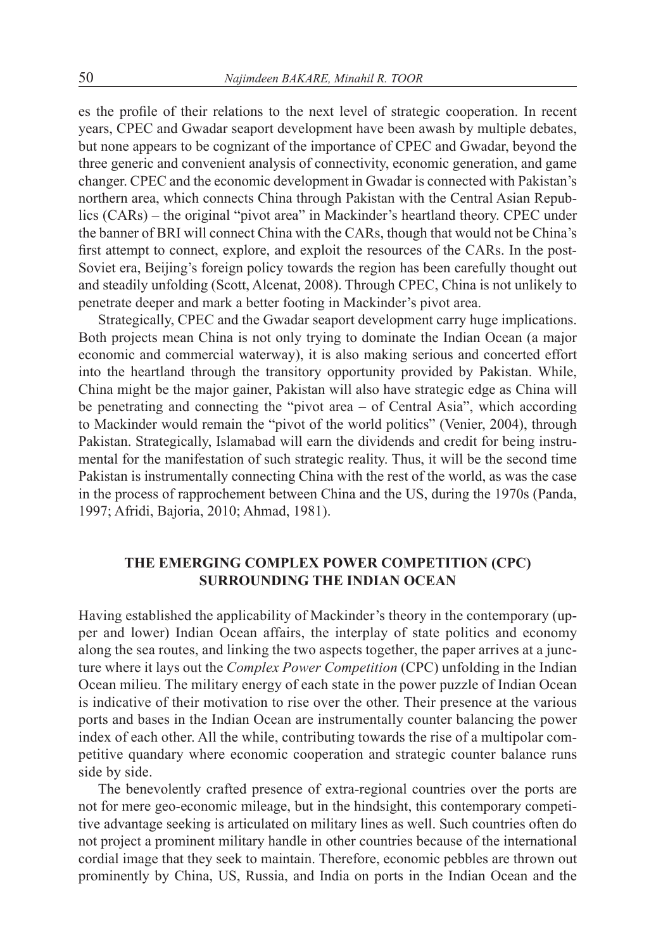es the profile of their relations to the next level of strategic cooperation. In recent years, CPEC and Gwadar seaport development have been awash by multiple debates, but none appears to be cognizant of the importance of CPEC and Gwadar, beyond the three generic and convenient analysis of connectivity, economic generation, and game changer. CPEC and the economic development in Gwadar is connected with Pakistan's northern area, which connects China through Pakistan with the Central Asian Republics (CARs) – the original "pivot area" in Mackinder's heartland theory. CPEC under the banner of BRI will connect China with the CARs, though that would not be China's first attempt to connect, explore, and exploit the resources of the CARs. In the post-Soviet era, Beijing's foreign policy towards the region has been carefully thought out and steadily unfolding (Scott, Alcenat, 2008). Through CPEC, China is not unlikely to penetrate deeper and mark a better footing in Mackinder's pivot area.

Strategically, CPEC and the Gwadar seaport development carry huge implications. Both projects mean China is not only trying to dominate the Indian Ocean (a major economic and commercial waterway), it is also making serious and concerted effort into the heartland through the transitory opportunity provided by Pakistan. While, China might be the major gainer, Pakistan will also have strategic edge as China will be penetrating and connecting the "pivot area – of Central Asia", which according to Mackinder would remain the "pivot of the world politics" (Venier, 2004), through Pakistan. Strategically, Islamabad will earn the dividends and credit for being instrumental for the manifestation of such strategic reality. Thus, it will be the second time Pakistan is instrumentally connecting China with the rest of the world, as was the case in the process of rapprochement between China and the US, during the 1970s (Panda, 1997; Afridi, Bajoria, 2010; Ahmad, 1981).

# **THE EMERGING COMPLEX POWER COMPETITION (CPC) SURROUNDING THE INDIAN OCEAN**

Having established the applicability of Mackinder's theory in the contemporary (upper and lower) Indian Ocean affairs, the interplay of state politics and economy along the sea routes, and linking the two aspects together, the paper arrives at a juncture where it lays out the *Complex Power Competition* (CPC) unfolding in the Indian Ocean milieu. The military energy of each state in the power puzzle of Indian Ocean is indicative of their motivation to rise over the other. Their presence at the various ports and bases in the Indian Ocean are instrumentally counter balancing the power index of each other. All the while, contributing towards the rise of a multipolar competitive quandary where economic cooperation and strategic counter balance runs side by side.

The benevolently crafted presence of extra-regional countries over the ports are not for mere geo-economic mileage, but in the hindsight, this contemporary competitive advantage seeking is articulated on military lines as well. Such countries often do not project a prominent military handle in other countries because of the international cordial image that they seek to maintain. Therefore, economic pebbles are thrown out prominently by China, US, Russia, and India on ports in the Indian Ocean and the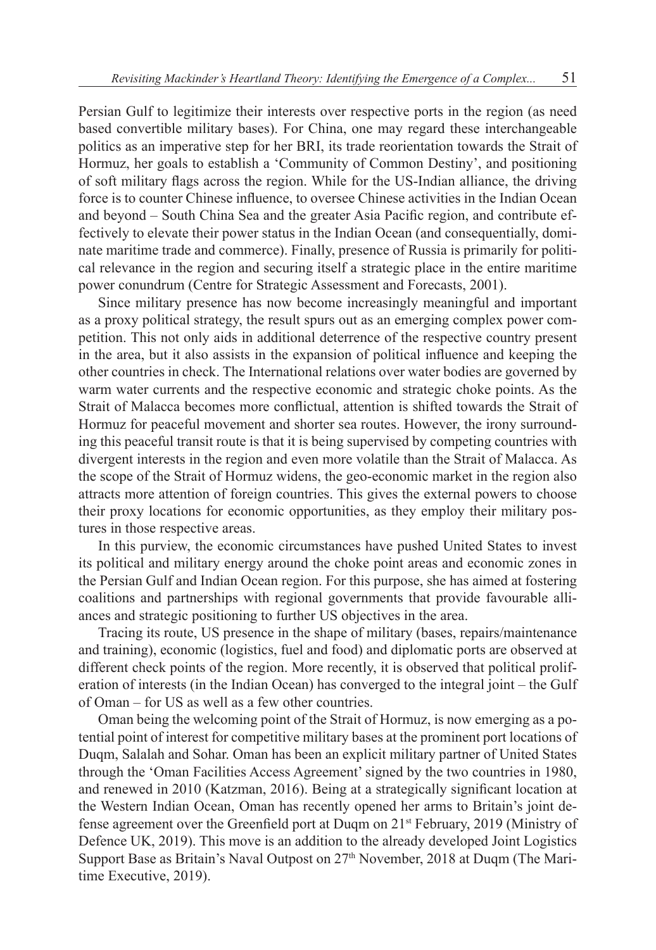Persian Gulf to legitimize their interests over respective ports in the region (as need based convertible military bases). For China, one may regard these interchangeable politics as an imperative step for her BRI, its trade reorientation towards the Strait of Hormuz, her goals to establish a 'Community of Common Destiny', and positioning of soft military flags across the region. While for the US-Indian alliance, the driving force is to counter Chinese influence, to oversee Chinese activities in the Indian Ocean and beyond – South China Sea and the greater Asia Pacific region, and contribute effectively to elevate their power status in the Indian Ocean (and consequentially, dominate maritime trade and commerce). Finally, presence of Russia is primarily for political relevance in the region and securing itself a strategic place in the entire maritime power conundrum (Centre for Strategic Assessment and Forecasts, 2001).

Since military presence has now become increasingly meaningful and important as a proxy political strategy, the result spurs out as an emerging complex power competition. This not only aids in additional deterrence of the respective country present in the area, but it also assists in the expansion of political influence and keeping the other countries in check. The International relations over water bodies are governed by warm water currents and the respective economic and strategic choke points. As the Strait of Malacca becomes more conflictual, attention is shifted towards the Strait of Hormuz for peaceful movement and shorter sea routes. However, the irony surrounding this peaceful transit route is that it is being supervised by competing countries with divergent interests in the region and even more volatile than the Strait of Malacca. As the scope of the Strait of Hormuz widens, the geo-economic market in the region also attracts more attention of foreign countries. This gives the external powers to choose their proxy locations for economic opportunities, as they employ their military postures in those respective areas.

In this purview, the economic circumstances have pushed United States to invest its political and military energy around the choke point areas and economic zones in the Persian Gulf and Indian Ocean region. For this purpose, she has aimed at fostering coalitions and partnerships with regional governments that provide favourable alliances and strategic positioning to further US objectives in the area.

Tracing its route, US presence in the shape of military (bases, repairs/maintenance and training), economic (logistics, fuel and food) and diplomatic ports are observed at different check points of the region. More recently, it is observed that political proliferation of interests (in the Indian Ocean) has converged to the integral joint – the Gulf of Oman – for US as well as a few other countries.

Oman being the welcoming point of the Strait of Hormuz, is now emerging as a potential point of interest for competitive military bases at the prominent port locations of Duqm, Salalah and Sohar. Oman has been an explicit military partner of United States through the 'Oman Facilities Access Agreement' signed by the two countries in 1980, and renewed in 2010 (Katzman, 2016). Being at a strategically significant location at the Western Indian Ocean, Oman has recently opened her arms to Britain's joint defense agreement over the Greenfield port at Duqm on 21st February, 2019 (Ministry of Defence UK, 2019). This move is an addition to the already developed Joint Logistics Support Base as Britain's Naval Outpost on 27<sup>th</sup> November, 2018 at Duqm (The Maritime Executive, 2019).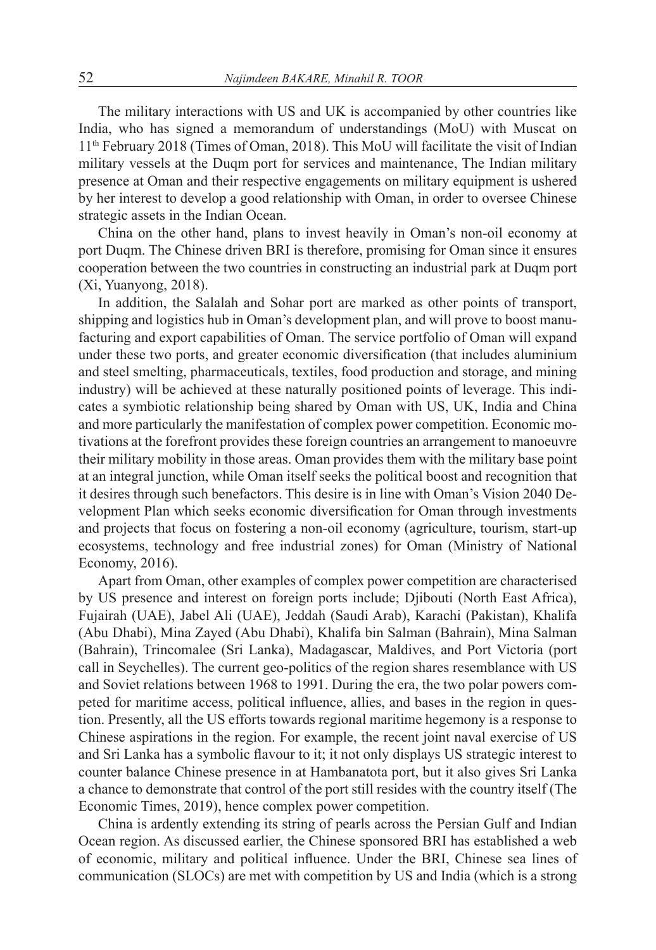The military interactions with US and UK is accompanied by other countries like India, who has signed a memorandum of understandings (MoU) with Muscat on 11th February 2018 (Times of Oman, 2018). This MoU will facilitate the visit of Indian military vessels at the Duqm port for services and maintenance, The Indian military presence at Oman and their respective engagements on military equipment is ushered by her interest to develop a good relationship with Oman, in order to oversee Chinese strategic assets in the Indian Ocean.

China on the other hand, plans to invest heavily in Oman's non-oil economy at port Duqm. The Chinese driven BRI is therefore, promising for Oman since it ensures cooperation between the two countries in constructing an industrial park at Duqm port (Xi, Yuanyong, 2018).

In addition, the Salalah and Sohar port are marked as other points of transport, shipping and logistics hub in Oman's development plan, and will prove to boost manufacturing and export capabilities of Oman. The service portfolio of Oman will expand under these two ports, and greater economic diversification (that includes aluminium and steel smelting, pharmaceuticals, textiles, food production and storage, and mining industry) will be achieved at these naturally positioned points of leverage. This indicates a symbiotic relationship being shared by Oman with US, UK, India and China and more particularly the manifestation of complex power competition. Economic motivations at the forefront provides these foreign countries an arrangement to manoeuvre their military mobility in those areas. Oman provides them with the military base point at an integral junction, while Oman itself seeks the political boost and recognition that it desires through such benefactors. This desire is in line with Oman's Vision 2040 Development Plan which seeks economic diversification for Oman through investments and projects that focus on fostering a non-oil economy (agriculture, tourism, start-up ecosystems, technology and free industrial zones) for Oman (Ministry of National Economy, 2016).

Apart from Oman, other examples of complex power competition are characterised by US presence and interest on foreign ports include; Djibouti (North East Africa), Fujairah (UAE), Jabel Ali (UAE), Jeddah (Saudi Arab), Karachi (Pakistan), Khalifa (Abu Dhabi), Mina Zayed (Abu Dhabi), Khalifa bin Salman (Bahrain), Mina Salman (Bahrain), Trincomalee (Sri Lanka), Madagascar, Maldives, and Port Victoria (port call in Seychelles). The current geo-politics of the region shares resemblance with US and Soviet relations between 1968 to 1991. During the era, the two polar powers competed for maritime access, political influence, allies, and bases in the region in question. Presently, all the US efforts towards regional maritime hegemony is a response to Chinese aspirations in the region. For example, the recent joint naval exercise of US and Sri Lanka has a symbolic flavour to it; it not only displays US strategic interest to counter balance Chinese presence in at Hambanatota port, but it also gives Sri Lanka a chance to demonstrate that control of the port still resides with the country itself (The Economic Times, 2019), hence complex power competition.

China is ardently extending its string of pearls across the Persian Gulf and Indian Ocean region. As discussed earlier, the Chinese sponsored BRI has established a web of economic, military and political influence. Under the BRI, Chinese sea lines of communication (SLOCs) are met with competition by US and India (which is a strong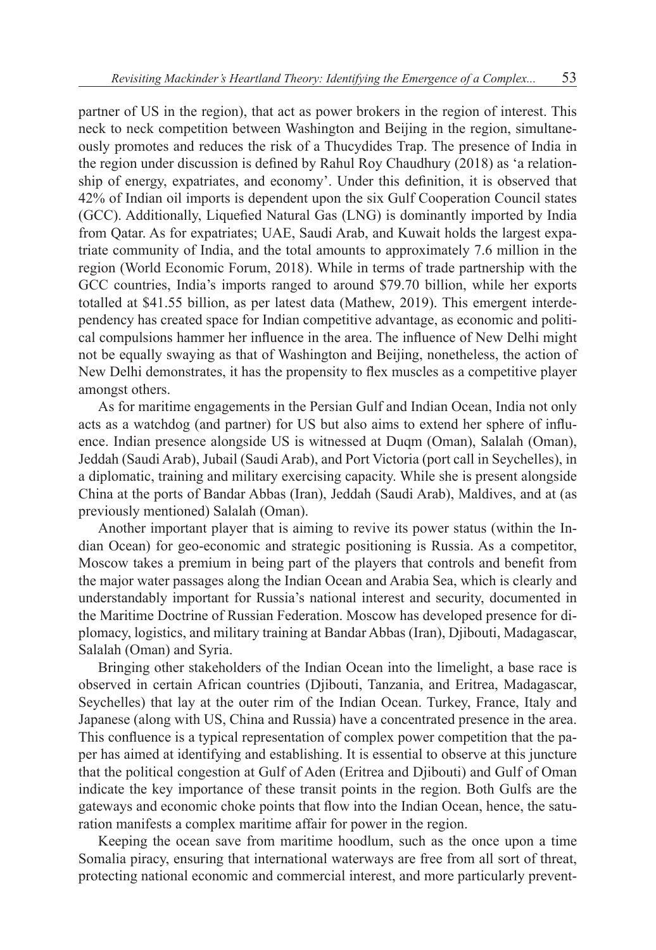partner of US in the region), that act as power brokers in the region of interest. This neck to neck competition between Washington and Beijing in the region, simultaneously promotes and reduces the risk of a Thucydides Trap. The presence of India in the region under discussion is defined by Rahul Roy Chaudhury (2018) as 'a relationship of energy, expatriates, and economy'. Under this definition, it is observed that 42% of Indian oil imports is dependent upon the six Gulf Cooperation Council states (GCC). Additionally, Liquefied Natural Gas (LNG) is dominantly imported by India from Qatar. As for expatriates; UAE, Saudi Arab, and Kuwait holds the largest expatriate community of India, and the total amounts to approximately 7.6 million in the region (World Economic Forum, 2018). While in terms of trade partnership with the GCC countries, India's imports ranged to around \$79.70 billion, while her exports totalled at \$41.55 billion, as per latest data (Mathew, 2019). This emergent interdependency has created space for Indian competitive advantage, as economic and political compulsions hammer her influence in the area. The influence of New Delhi might not be equally swaying as that of Washington and Beijing, nonetheless, the action of New Delhi demonstrates, it has the propensity to flex muscles as a competitive player amongst others.

As for maritime engagements in the Persian Gulf and Indian Ocean, India not only acts as a watchdog (and partner) for US but also aims to extend her sphere of influence. Indian presence alongside US is witnessed at Duqm (Oman), Salalah (Oman), Jeddah (Saudi Arab), Jubail (Saudi Arab), and Port Victoria (port call in Seychelles), in a diplomatic, training and military exercising capacity. While she is present alongside China at the ports of Bandar Abbas (Iran), Jeddah (Saudi Arab), Maldives, and at (as previously mentioned) Salalah (Oman).

Another important player that is aiming to revive its power status (within the Indian Ocean) for geo-economic and strategic positioning is Russia. As a competitor, Moscow takes a premium in being part of the players that controls and benefit from the major water passages along the Indian Ocean and Arabia Sea, which is clearly and understandably important for Russia's national interest and security, documented in the Maritime Doctrine of Russian Federation. Moscow has developed presence for diplomacy, logistics, and military training at Bandar Abbas (Iran), Djibouti, Madagascar, Salalah (Oman) and Syria.

Bringing other stakeholders of the Indian Ocean into the limelight, a base race is observed in certain African countries (Djibouti, Tanzania, and Eritrea, Madagascar, Seychelles) that lay at the outer rim of the Indian Ocean. Turkey, France, Italy and Japanese (along with US, China and Russia) have a concentrated presence in the area. This confluence is a typical representation of complex power competition that the paper has aimed at identifying and establishing. It is essential to observe at this juncture that the political congestion at Gulf of Aden (Eritrea and Djibouti) and Gulf of Oman indicate the key importance of these transit points in the region. Both Gulfs are the gateways and economic choke points that flow into the Indian Ocean, hence, the saturation manifests a complex maritime affair for power in the region.

Keeping the ocean save from maritime hoodlum, such as the once upon a time Somalia piracy, ensuring that international waterways are free from all sort of threat, protecting national economic and commercial interest, and more particularly prevent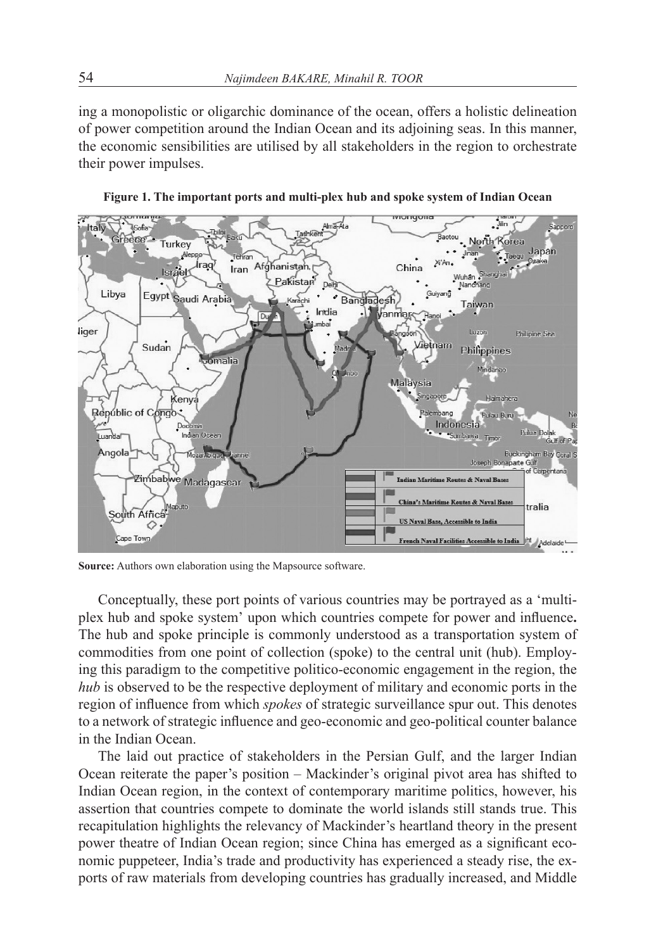ing a monopolistic or oligarchic dominance of the ocean, offers a holistic delineation of power competition around the Indian Ocean and its adjoining seas. In this manner, the economic sensibilities are utilised by all stakeholders in the region to orchestrate their power impulses.



**Figure 1. The important ports and multi-plex hub and spoke system of Indian Ocean**

**Source:** Authors own elaboration using the Mapsource software.

Conceptually, these port points of various countries may be portrayed as a 'multiplex hub and spoke system' upon which countries compete for power and influence**.**  The hub and spoke principle is commonly understood as a transportation system of commodities from one point of collection (spoke) to the central unit (hub). Employing this paradigm to the competitive politico-economic engagement in the region, the *hub* is observed to be the respective deployment of military and economic ports in the region of influence from which *spokes* of strategic surveillance spur out. This denotes to a network of strategic influence and geo-economic and geo-political counter balance in the Indian Ocean.

The laid out practice of stakeholders in the Persian Gulf, and the larger Indian Ocean reiterate the paper's position – Mackinder's original pivot area has shifted to Indian Ocean region, in the context of contemporary maritime politics, however, his assertion that countries compete to dominate the world islands still stands true. This recapitulation highlights the relevancy of Mackinder's heartland theory in the present power theatre of Indian Ocean region; since China has emerged as a significant economic puppeteer, India's trade and productivity has experienced a steady rise, the exports of raw materials from developing countries has gradually increased, and Middle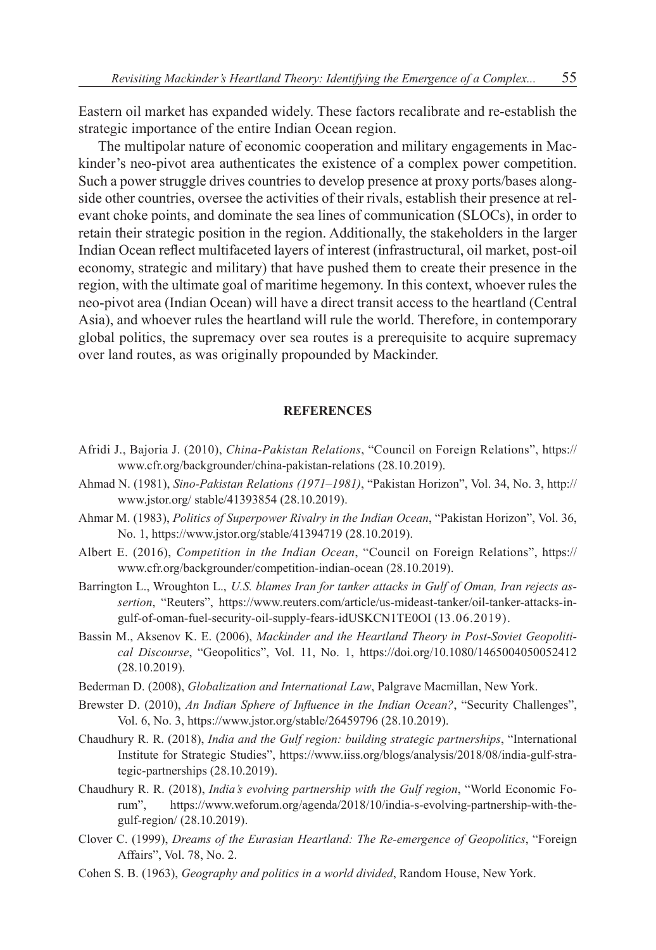Eastern oil market has expanded widely. These factors recalibrate and re-establish the strategic importance of the entire Indian Ocean region.

The multipolar nature of economic cooperation and military engagements in Mackinder's neo-pivot area authenticates the existence of a complex power competition. Such a power struggle drives countries to develop presence at proxy ports/bases alongside other countries, oversee the activities of their rivals, establish their presence at relevant choke points, and dominate the sea lines of communication (SLOCs), in order to retain their strategic position in the region. Additionally, the stakeholders in the larger Indian Ocean reflect multifaceted layers of interest (infrastructural, oil market, post-oil economy, strategic and military) that have pushed them to create their presence in the region, with the ultimate goal of maritime hegemony. In this context, whoever rules the neo-pivot area (Indian Ocean) will have a direct transit access to the heartland (Central Asia), and whoever rules the heartland will rule the world. Therefore, in contemporary global politics, the supremacy over sea routes is a prerequisite to acquire supremacy over land routes, as was originally propounded by Mackinder.

#### **REFERENCES**

- Afridi J., Bajoria J. (2010), *China-Pakistan Relations*, "Council on Foreign Relations", https:// www.cfr.org/backgrounder/china-pakistan-relations (28.10.2019).
- Ahmad N. (1981), *Sino-Pakistan Relations (1971–1981)*, "Pakistan Horizon", Vol. 34, No. 3, http:// www.jstor.org/ stable/41393854 (28.10.2019).
- Ahmar M. (1983), *Politics of Superpower Rivalry in the Indian Ocean*, "Pakistan Horizon", Vol. 36, No. 1, https://www.jstor.org/stable/41394719 (28.10.2019).
- Albert E. (2016), *Competition in the Indian Ocean*, "Council on Foreign Relations", https:// www.cfr.org/backgrounder/competition-indian-ocean (28.10.2019).
- Barrington L., Wroughton L., *U.S. blames Iran for tanker attacks in Gulf of Oman, Iran rejects assertion*, "Reuters", https://www.reuters.com/article/us-mideast-tanker/oil-tanker-attacks-ingulf-of-oman-fuel-security-oil-supply-fears-idUSKCN1TE0OI (13.06.2019).
- Bassin M., Aksenov K. E. (2006), *Mackinder and the Heartland Theory in Post-Soviet Geopolitical Discourse*, "Geopolitics", Vol. 11, No. 1, https://doi.org/10.1080/1465004050052412 (28.10.2019).
- Bederman D. (2008), *Globalization and International Law*, Palgrave Macmillan, New York.
- Brewster D. (2010), *An Indian Sphere of Influence in the Indian Ocean?*, "Security Challenges", Vol. 6, No. 3, https://www.jstor.org/stable/26459796 (28.10.2019).
- Chaudhury R. R. (2018), *India and the Gulf region: building strategic partnerships*, "International Institute for Strategic Studies", https://www.iiss.org/blogs/analysis/2018/08/india-gulf-strategic-partnerships (28.10.2019).
- Chaudhury R. R. (2018), *India's evolving partnership with the Gulf region*, "World Economic Forum", https://www.weforum.org/agenda/2018/10/india-s-evolving-partnership-with-thegulf-region/ (28.10.2019).
- Clover C. (1999), *Dreams of the Eurasian Heartland: The Re-emergence of Geopolitics*, "Foreign Affairs", Vol. 78, No. 2.
- Cohen S. B. (1963), *Geography and politics in a world divided*, Random House, New York.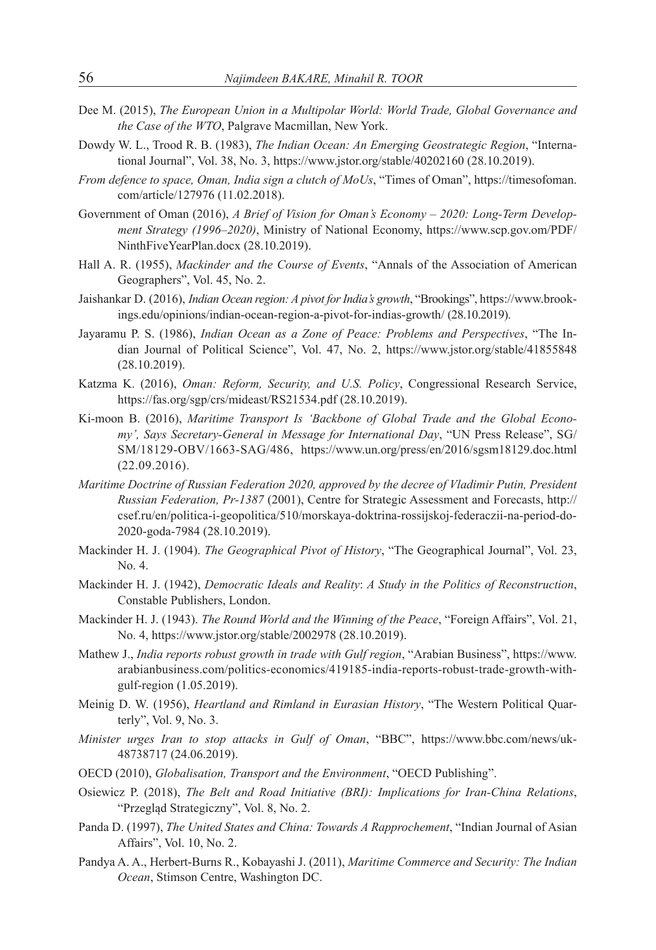- Dee M. (2015), *The European Union in a Multipolar World: World Trade, Global Governance and the Case of the WTO*, Palgrave Macmillan, New York.
- Dowdy W. L., Trood R. B. (1983), *The Indian Ocean: An Emerging Geostrategic Region*, "International Journal", Vol. 38, No. 3, https://www.jstor.org/stable/40202160 (28.10.2019).
- *From defence to space, Oman, India sign a clutch of MoUs*, "Times of Oman", https://timesofoman. com/article/127976 (11.02.2018).
- Government of Oman (2016), *A Brief of Vision for Oman's Economy 2020: Long-Term Development Strategy (1996–2020)*, Ministry of National Economy, https://www.scp.gov.om/PDF/ NinthFiveYearPlan.docx (28.10.2019).
- Hall A. R. (1955), *Mackinder and the Course of Events*, "Annals of the Association of American Geographers", Vol. 45, No. 2.
- Jaishankar D. (2016), *Indian Ocean region: A pivot for India's growth*, "Brookings", https://www.brookings.edu/opinions/indian-ocean-region-a-pivot-for-indias-growth/ (28.10.2019).
- Jayaramu P. S. (1986), *Indian Ocean as a Zone of Peace: Problems and Perspectives*, "The Indian Journal of Political Science", Vol. 47, No. 2, https://www.jstor.org/stable/41855848 (28.10.2019).
- Katzma K. (2016), *Oman: Reform, Security, and U.S. Policy*, Congressional Research Service, https://fas.org/sgp/crs/mideast/RS21534.pdf (28.10.2019).
- Ki-moon B. (2016), *Maritime Transport Is 'Backbone of Global Trade and the Global Economy', Says Secretary-General in Message for International Day*, "UN Press Release", SG/ SM/18129-OBV/1663-SAG/486, https://www.un.org/press/en/2016/sgsm18129.doc.html (22.09.2016).
- *Maritime Doctrine of Russian Federation 2020, approved by the decree of Vladimir Putin, President Russian Federation, Pr-1387* (2001), Centre for Strategic Assessment and Forecasts, http:// csef.ru/en/politica-i-geopolitica/510/morskaya-doktrina-rossijskoj-federaczii-na-period-do-2020-goda-7984 (28.10.2019).
- Mackinder H. J. (1904). *The Geographical Pivot of History*, "The Geographical Journal", Vol. 23, No. 4.
- Mackinder H. J. (1942), *Democratic Ideals and Reality*: *A Study in the Politics of Reconstruction*, Constable Publishers, London.
- Mackinder H. J. (1943). *The Round World and the Winning of the Peace*, "Foreign Affairs", Vol. 21, No. 4, https://www.jstor.org/stable/2002978 (28.10.2019).
- Mathew J., *India reports robust growth in trade with Gulf region*, "Arabian Business", https://www. arabianbusiness.com/politics-economics/419185-india-reports-robust-trade-growth-withgulf-region (1.05.2019).
- Meinig D. W. (1956), *Heartland and Rimland in Eurasian History*, "The Western Political Quarterly", Vol. 9, No. 3.
- *Minister urges Iran to stop attacks in Gulf of Oman*, "BBC", https://www.bbc.com/news/uk-48738717 (24.06.2019).
- OECD (2010), *Globalisation, Transport and the Environment*, "OECD Publishing".
- Osiewicz P. (2018), *The Belt and Road Initiative (BRI): Implications for Iran-China Relations*, "Przegląd Strategiczny", Vol. 8, No. 2.
- Panda D. (1997), *The United States and China: Towards A Rapprochement*, "Indian Journal of Asian Affairs", Vol. 10, No. 2.
- Pandya A. A., Herbert-Burns R., Kobayashi J. (2011), *Maritime Commerce and Security: The Indian Ocean*, Stimson Centre, Washington DC.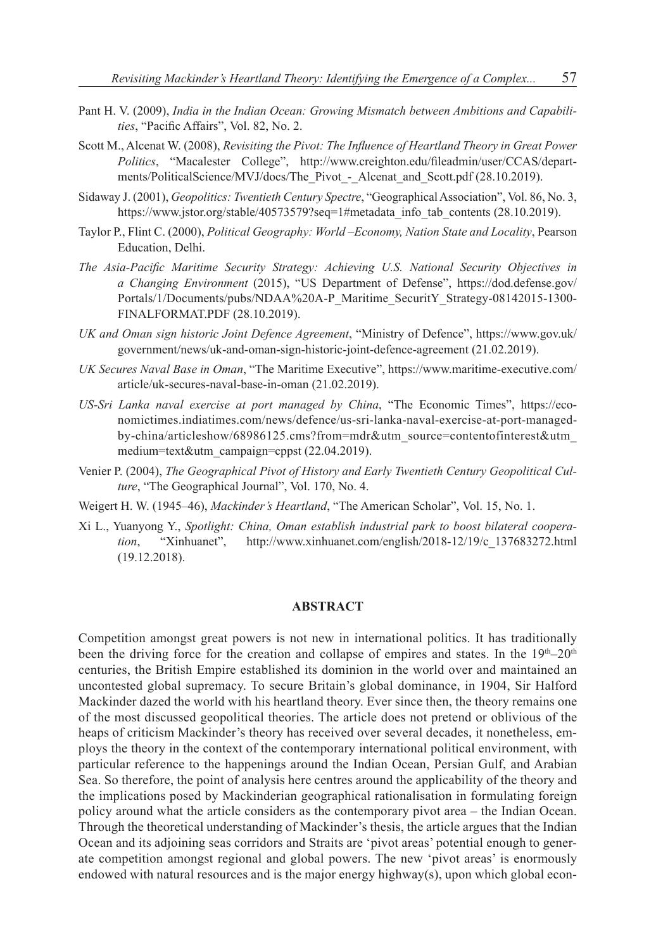- Pant H. V. (2009), *India in the Indian Ocean: Growing Mismatch between Ambitions and Capabilities*, "Pacific Affairs", Vol. 82, No. 2.
- Scott M., Alcenat W. (2008), *Revisiting the Pivot: The Influence of Heartland Theory in Great Power Politics*, "Macalester College", http://www.creighton.edu/fileadmin/user/CCAS/departments/PoliticalScience/MVJ/docs/The\_Pivot - Alcenat\_and\_Scott.pdf (28.10.2019).
- Sidaway J. (2001), *Geopolitics: Twentieth Century Spectre*, "Geographical Association", Vol. 86, No. 3, https://www.jstor.org/stable/40573579?seq=1#metadata\_info\_tab\_contents (28.10.2019).
- Taylor P., Flint C. (2000), *Political Geography: World –Economy, Nation State and Locality*, Pearson Education, Delhi.
- *The Asia-Pacific Maritime Security Strategy: Achieving U.S. National Security Objectives in a Changing Environment* (2015), "US Department of Defense", https://dod.defense.gov/ Portals/1/Documents/pubs/NDAA%20A-P\_Maritime\_SecuritY\_Strategy-08142015-1300- FINALFORMAT.PDF (28.10.2019).
- *UK and Oman sign historic Joint Defence Agreement*, "Ministry of Defence", https://www.gov.uk/ government/news/uk-and-oman-sign-historic-joint-defence-agreement (21.02.2019).
- *UK Secures Naval Base in Oman*, "The Maritime Executive", https://www.maritime-executive.com/ article/uk-secures-naval-base-in-oman (21.02.2019).
- *US-Sri Lanka naval exercise at port managed by China*, "The Economic Times", https://economictimes.indiatimes.com/news/defence/us-sri-lanka-naval-exercise-at-port-managedby-china/articleshow/68986125.cms?from=mdr&utm\_source=contentofinterest&utm\_ medium=text&utm\_campaign=cppst (22.04.2019).
- Venier P. (2004), *The Geographical Pivot of History and Early Twentieth Century Geopolitical Culture*, "The Geographical Journal", Vol. 170, No. 4.
- Weigert H. W. (1945–46), *Mackinder's Heartland*, "The American Scholar", Vol. 15, No. 1.
- Xi L., Yuanyong Y., *Spotlight: China, Oman establish industrial park to boost bilateral cooperation*, "Xinhuanet", http://www.xinhuanet.com/english/2018-12/19/c\_137683272.html (19.12.2018).

#### **ABSTRACT**

Competition amongst great powers is not new in international politics. It has traditionally been the driving force for the creation and collapse of empires and states. In the  $19<sup>th</sup>-20<sup>th</sup>$ centuries, the British Empire established its dominion in the world over and maintained an uncontested global supremacy. To secure Britain's global dominance, in 1904, Sir Halford Mackinder dazed the world with his heartland theory. Ever since then, the theory remains one of the most discussed geopolitical theories. The article does not pretend or oblivious of the heaps of criticism Mackinder's theory has received over several decades, it nonetheless, employs the theory in the context of the contemporary international political environment, with particular reference to the happenings around the Indian Ocean, Persian Gulf, and Arabian Sea. So therefore, the point of analysis here centres around the applicability of the theory and the implications posed by Mackinderian geographical rationalisation in formulating foreign policy around what the article considers as the contemporary pivot area – the Indian Ocean. Through the theoretical understanding of Mackinder's thesis, the article argues that the Indian Ocean and its adjoining seas corridors and Straits are 'pivot areas' potential enough to generate competition amongst regional and global powers. The new 'pivot areas' is enormously endowed with natural resources and is the major energy highway(s), upon which global econ